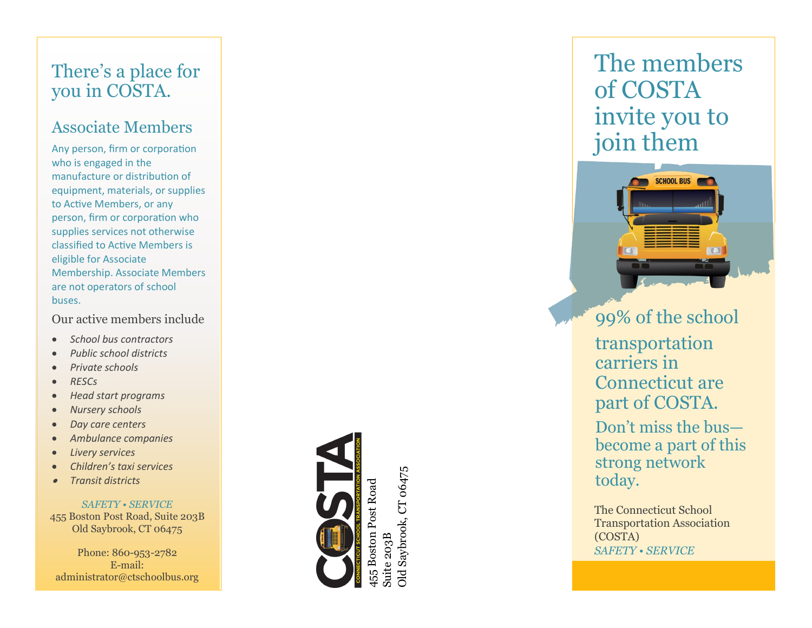# There 's a place for you in COSTA.

### Associate Members

Any person, firm or corporation who is engaged in the manufacture or distribution of equipment, materials, or supplies to Active Members, or any person, firm or corporation who supplies services not otherwise classified to Active Members is eligible for Associate Membership. Associate Members are not operators of school buses.

Our active members include

- *School bus contractors*
- *Public school districts*
- *Private schools*
- *RESCs*
- *Head start programs*
- *Nursery schools*
- *Day care centers*
- *Ambulance companies*
- *Livery services*
- *Children's taxi services*
- •*Transit districts*

*SAFETY • SERVICE* 455 Boston Post Road, Suite 203B Old Saybrook, CT 06475

Phone: 860 -953 -2782 E -mail: administrator@ctschoolbus.org



Suite 203B

iuite 203B

Dld Saybrook, CT 06475 Old Saybrook, CT 06475

The members of COSTA invite you to join them



99% of the school transportation carriers in Connecticut are part of COSTA. Don 't miss the bus become a part of this strong network today.

The Connecticut School Transportation Association (COSTA) *SAFETY • SERVICE*